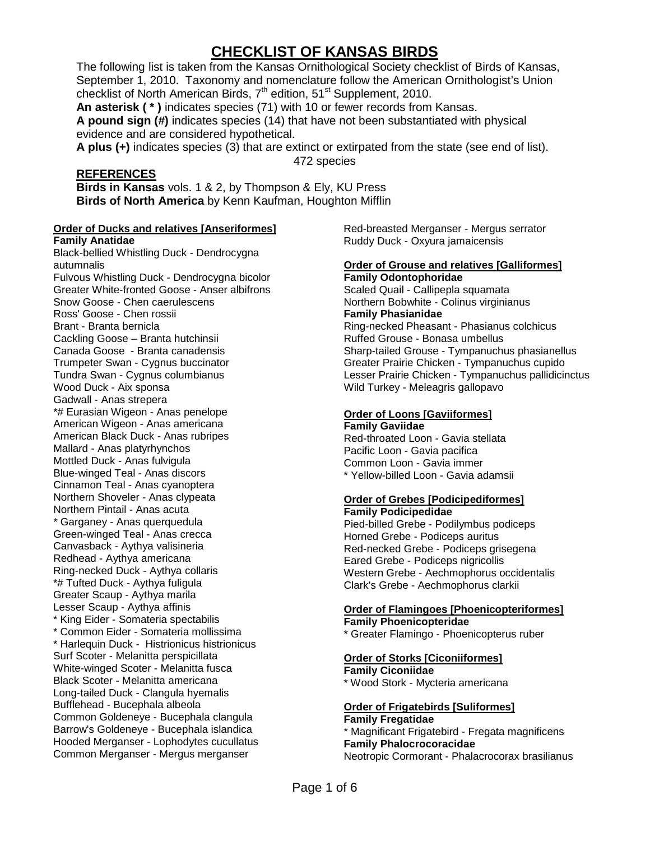# **CHECKLIST OF KANSAS BIRDS**

The following list is taken from the Kansas Ornithological Society checklist of Birds of Kansas, September 1, 2010. Taxonomy and nomenclature follow the American Ornithologist's Union checklist of North American Birds,  $7<sup>th</sup>$  edition,  $51<sup>st</sup>$  Supplement, 2010.

**An asterisk ( \* )** indicates species (71) with 10 or fewer records from Kansas. **A pound sign (#)** indicates species (14) that have not been substantiated with physical evidence and are considered hypothetical.

**A plus (+)** indicates species (3) that are extinct or extirpated from the state (see end of list). 472 species

## **REFERENCES**

**Birds in Kansas** vols. 1 & 2, by Thompson & Ely, KU Press **Birds of North America** by Kenn Kaufman, Houghton Mifflin

#### **Order of Ducks and relatives [Anseriformes]**

**Family Anatidae** Black-bellied Whistling Duck - Dendrocygna autumnalis Fulvous Whistling Duck - Dendrocygna bicolor Greater White-fronted Goose - Anser albifrons Snow Goose - Chen caerulescens Ross' Goose - Chen rossii Brant - Branta bernicla Cackling Goose – Branta hutchinsii Canada Goose - Branta canadensis Trumpeter Swan - Cygnus buccinator Tundra Swan - Cygnus columbianus Wood Duck - Aix sponsa Gadwall - Anas strepera \*# Eurasian Wigeon - Anas penelope American Wigeon - Anas americana American Black Duck - Anas rubripes Mallard - Anas platyrhynchos Mottled Duck - Anas fulvigula Blue-winged Teal - Anas discors Cinnamon Teal - Anas cyanoptera Northern Shoveler - Anas clypeata Northern Pintail - Anas acuta \* Garganey - Anas querquedula Green-winged Teal - Anas crecca Canvasback - Aythya valisineria Redhead - Aythya americana Ring-necked Duck - Aythya collaris \*# Tufted Duck - Aythya fuligula Greater Scaup - Aythya marila Lesser Scaup - Aythya affinis \* King Eider - Somateria spectabilis \* Common Eider - Somateria mollissima \* Harlequin Duck - Histrionicus histrionicus Surf Scoter - Melanitta perspicillata White-winged Scoter - Melanitta fusca Black Scoter - Melanitta americana Long-tailed Duck - Clangula hyemalis Bufflehead - Bucephala albeola Common Goldeneye - Bucephala clangula Barrow's Goldeneye - Bucephala islandica Hooded Merganser - Lophodytes cucullatus Common Merganser - Mergus merganser

Red-breasted Merganser - Mergus serrator Ruddy Duck - Oxyura jamaicensis

## **Order of Grouse and relatives [Galliformes]**

**Family Odontophoridae** Scaled Quail - Callipepla squamata Northern Bobwhite - Colinus virginianus **Family Phasianidae** Ring-necked Pheasant - Phasianus colchicus Ruffed Grouse - Bonasa umbellus Sharp-tailed Grouse - Tympanuchus phasianellus Greater Prairie Chicken - Tympanuchus cupido Lesser Prairie Chicken - Tympanuchus pallidicinctus Wild Turkey - Meleagris gallopavo

## **Order of Loons [Gaviiformes]**

**Family Gaviidae** Red-throated Loon - Gavia stellata Pacific Loon - Gavia pacifica Common Loon - Gavia immer \* Yellow-billed Loon - Gavia adamsii

#### **Order of Grebes [Podicipediformes] Family Podicipedidae**

Pied-billed Grebe - Podilymbus podiceps Horned Grebe - Podiceps auritus Red-necked Grebe - Podiceps grisegena Eared Grebe - Podiceps nigricollis Western Grebe - Aechmophorus occidentalis Clark's Grebe - Aechmophorus clarkii

#### **Order of Flamingoes [Phoenicopteriformes] Family Phoenicopteridae**

\* Greater Flamingo - Phoenicopterus ruber

## **Order of Storks [Ciconiiformes]**

**Family Ciconiidae** \* Wood Stork - Mycteria americana

#### **Order of Frigatebirds [Suliformes]**

#### **Family Fregatidae**

\* Magnificant Frigatebird - Fregata magnificens **Family Phalocrocoracidae** Neotropic Cormorant - Phalacrocorax brasilianus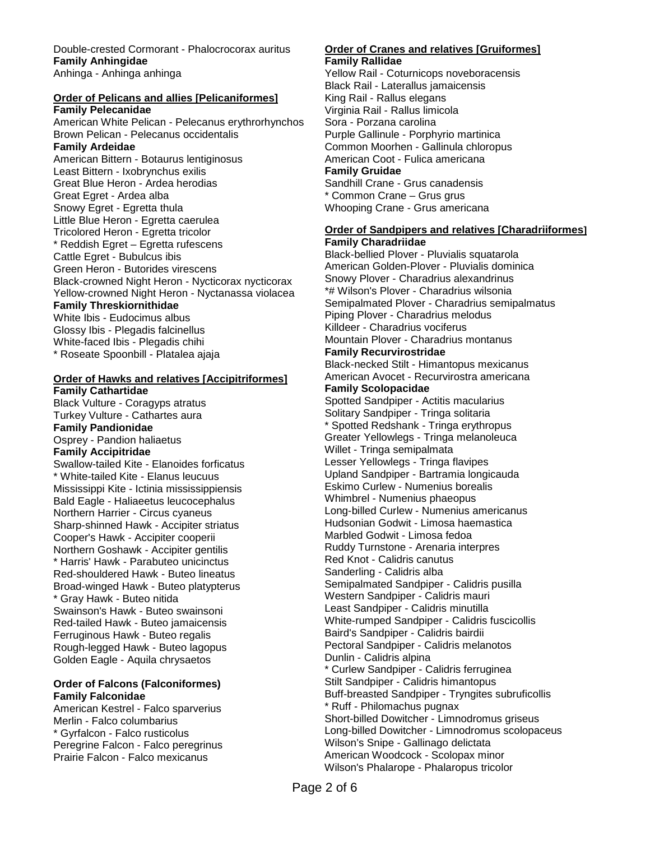Double-crested Cormorant - Phalocrocorax auritus **Family Anhingidae** Anhinga - Anhinga anhinga

## **Order of Pelicans and allies [Pelicaniformes]**

**Family Pelecanidae** American White Pelican - Pelecanus erythrorhynchos Brown Pelican - Pelecanus occidentalis **Family Ardeidae** American Bittern - Botaurus lentiginosus Least Bittern - Ixobrynchus exilis Great Blue Heron - Ardea herodias Great Egret - Ardea alba Snowy Egret - Egretta thula Little Blue Heron - Egretta caerulea Tricolored Heron - Egretta tricolor \* Reddish Egret – Egretta rufescens Cattle Egret - Bubulcus ibis Green Heron - Butorides virescens Black-crowned Night Heron - Nycticorax nycticorax Yellow-crowned Night Heron - Nyctanassa violacea **Family Threskiornithidae** White Ibis - Eudocimus albus Glossy Ibis - Plegadis falcinellus White-faced Ibis - Plegadis chihi

\* Roseate Spoonbill - Platalea ajaja

#### **Order of Hawks and relatives [Accipitriformes]**

**Family Cathartidae** Black Vulture - Coragyps atratus Turkey Vulture - Cathartes aura **Family Pandionidae** Osprey - Pandion haliaetus **Family Accipitridae** Swallow-tailed Kite - Elanoides forficatus \* White-tailed Kite - Elanus leucuus Mississippi Kite - Ictinia mississippiensis Bald Eagle - Haliaeetus leucocephalus Northern Harrier - Circus cyaneus Sharp-shinned Hawk - Accipiter striatus Cooper's Hawk - Accipiter cooperii Northern Goshawk - Accipiter gentilis \* Harris' Hawk - Parabuteo unicinctus Red-shouldered Hawk - Buteo lineatus Broad-winged Hawk - Buteo platypterus \* Gray Hawk - Buteo nitida Swainson's Hawk - Buteo swainsoni Red-tailed Hawk - Buteo jamaicensis Ferruginous Hawk - Buteo regalis Rough-legged Hawk - Buteo lagopus Golden Eagle - Aquila chrysaetos

#### **Order of Falcons (Falconiformes) Family Falconidae**

American Kestrel - Falco sparverius Merlin - Falco columbarius \* Gyrfalcon - Falco rusticolus Peregrine Falcon - Falco peregrinus Prairie Falcon - Falco mexicanus

#### **Order of Cranes and relatives [Gruiformes] Family Rallidae**

Yellow Rail - Coturnicops noveboracensis Black Rail - Laterallus jamaicensis King Rail - Rallus elegans Virginia Rail - Rallus limicola Sora - Porzana carolina Purple Gallinule - Porphyrio martinica Common Moorhen - Gallinula chloropus American Coot - Fulica americana **Family Gruidae** Sandhill Crane - Grus canadensis \* Common Crane – Grus grus

Whooping Crane - Grus americana

#### **Order of Sandpipers and relatives [Charadriiformes] Family Charadriidae**

Black-bellied Plover - Pluvialis squatarola American Golden-Plover - Pluvialis dominica Snowy Plover - Charadrius alexandrinus \*# Wilson's Plover - Charadrius wilsonia Semipalmated Plover - Charadrius semipalmatus Piping Plover - Charadrius melodus Killdeer - Charadrius vociferus Mountain Plover - Charadrius montanus **Family Recurvirostridae** Black-necked Stilt - Himantopus mexicanus American Avocet - Recurvirostra americana **Family Scolopacidae** Spotted Sandpiper - Actitis macularius Solitary Sandpiper - Tringa solitaria \* Spotted Redshank - Tringa erythropus Greater Yellowlegs - Tringa melanoleuca Willet - Tringa semipalmata Lesser Yellowlegs - Tringa flavipes Upland Sandpiper - Bartramia longicauda Eskimo Curlew - Numenius borealis Whimbrel - Numenius phaeopus Long-billed Curlew - Numenius americanus Hudsonian Godwit - Limosa haemastica Marbled Godwit - Limosa fedoa Ruddy Turnstone - Arenaria interpres Red Knot - Calidris canutus Sanderling - Calidris alba Semipalmated Sandpiper - Calidris pusilla Western Sandpiper - Calidris mauri Least Sandpiper - Calidris minutilla White-rumped Sandpiper - Calidris fuscicollis Baird's Sandpiper - Calidris bairdii Pectoral Sandpiper - Calidris melanotos Dunlin - Calidris alpina \* Curlew Sandpiper - Calidris ferruginea Stilt Sandpiper - Calidris himantopus Buff-breasted Sandpiper - Tryngites subruficollis \* Ruff - Philomachus pugnax Short-billed Dowitcher - Limnodromus griseus Long-billed Dowitcher - Limnodromus scolopaceus Wilson's Snipe - Gallinago delictata American Woodcock - Scolopax minor Wilson's Phalarope - Phalaropus tricolor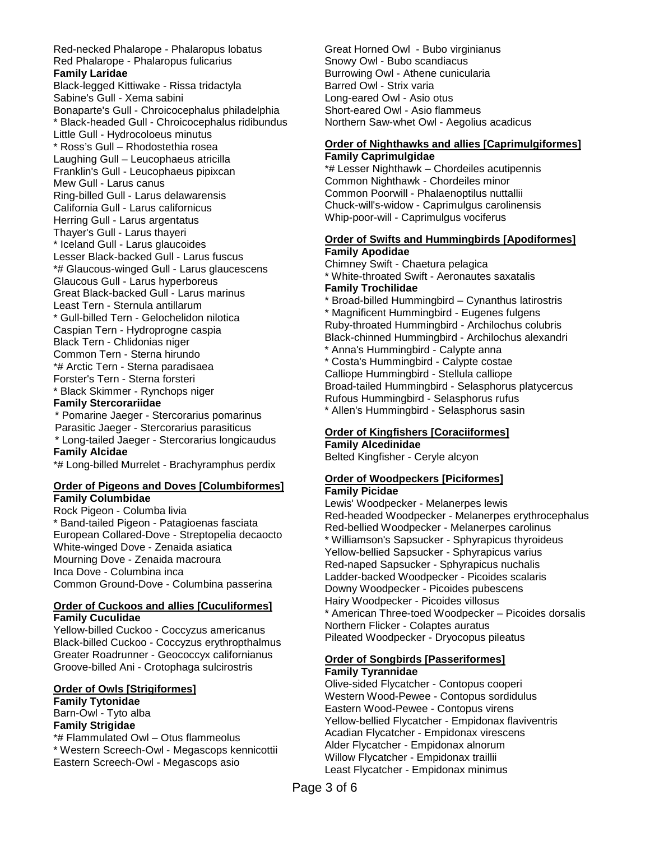Red-necked Phalarope - Phalaropus lobatus Red Phalarope - Phalaropus fulicarius **Family Laridae** Black-legged Kittiwake - Rissa tridactyla Sabine's Gull - Xema sabini Bonaparte's Gull - Chroicocephalus philadelphia \* Black-headed Gull - Chroicocephalus ridibundus Little Gull - Hydrocoloeus minutus \* Ross's Gull – Rhodostethia rosea Laughing Gull – Leucophaeus atricilla Franklin's Gull - Leucophaeus pipixcan Mew Gull - Larus canus Ring-billed Gull - Larus delawarensis California Gull - Larus californicus Herring Gull - Larus argentatus Thayer's Gull - Larus thayeri \* Iceland Gull - Larus glaucoides Lesser Black-backed Gull - Larus fuscus \*# Glaucous-winged Gull - Larus glaucescens Glaucous Gull - Larus hyperboreus Great Black-backed Gull - Larus marinus Least Tern - Sternula antillarum \* Gull-billed Tern - Gelochelidon nilotica Caspian Tern - Hydroprogne caspia Black Tern - Chlidonias niger Common Tern - Sterna hirundo \*# Arctic Tern - Sterna paradisaea Forster's Tern - Sterna forsteri \* Black Skimmer - Rynchops niger **Family Stercorariidae**

 \* Pomarine Jaeger - Stercorarius pomarinus Parasitic Jaeger - Stercorarius parasiticus \* Long-tailed Jaeger - Stercorarius longicaudus **Family Alcidae**

\*# Long-billed Murrelet - Brachyramphus perdix

### **Order of Pigeons and Doves [Columbiformes] Family Columbidae**

Rock Pigeon - Columba livia \* Band-tailed Pigeon - Patagioenas fasciata European Collared-Dove - Streptopelia decaocto White-winged Dove - Zenaida asiatica Mourning Dove - Zenaida macroura Inca Dove - Columbina inca Common Ground-Dove - Columbina passerina

#### **Order of Cuckoos and allies [Cuculiformes] Family Cuculidae**

Yellow-billed Cuckoo - Coccyzus americanus Black-billed Cuckoo - Coccyzus erythropthalmus Greater Roadrunner - Geococcyx californianus Groove-billed Ani - Crotophaga sulcirostris

#### **Order of Owls [Strigiformes]**

**Family Tytonidae** Barn-Owl - Tyto alba **Family Strigidae**

\*# Flammulated Owl – Otus flammeolus \* Western Screech-Owl - Megascops kennicottii Eastern Screech-Owl - Megascops asio

Great Horned Owl - Bubo virginianus Snowy Owl - Bubo scandiacus Burrowing Owl - Athene cunicularia Barred Owl - Strix varia Long-eared Owl - Asio otus Short-eared Owl - Asio flammeus Northern Saw-whet Owl - Aegolius acadicus

### **Order of Nighthawks and allies [Caprimulgiformes] Family Caprimulgidae**

\*# Lesser Nighthawk – Chordeiles acutipennis Common Nighthawk - Chordeiles minor Common Poorwill - Phalaenoptilus nuttallii Chuck-will's-widow - Caprimulgus carolinensis Whip-poor-will - Caprimulgus vociferus

#### **Order of Swifts and Hummingbirds [Apodiformes] Family Apodidae**

Chimney Swift - Chaetura pelagica \* White-throated Swift - Aeronautes saxatalis **Family Trochilidae**

- \* Broad-billed Hummingbird Cynanthus latirostris \* Magnificent Hummingbird - Eugenes fulgens Ruby-throated Hummingbird - Archilochus colubris Black-chinned Hummingbird - Archilochus alexandri
- \* Anna's Hummingbird Calypte anna
- \* Costa's Hummingbird Calypte costae Calliope Hummingbird - Stellula calliope Broad-tailed Hummingbird - Selasphorus platycercus Rufous Hummingbird - Selasphorus rufus \* Allen's Hummingbird - Selasphorus sasin

## **Order of Kingfishers [Coraciiformes]**

**Family Alcedinidae** Belted Kingfisher - Ceryle alcyon

## **Order of Woodpeckers [Piciformes]**

#### **Family Picidae**

Lewis' Woodpecker - Melanerpes lewis Red-headed Woodpecker - Melanerpes erythrocephalus Red-bellied Woodpecker - Melanerpes carolinus \* Williamson's Sapsucker - Sphyrapicus thyroideus Yellow-bellied Sapsucker - Sphyrapicus varius Red-naped Sapsucker - Sphyrapicus nuchalis Ladder-backed Woodpecker - Picoides scalaris Downy Woodpecker - Picoides pubescens Hairy Woodpecker - Picoides villosus \* American Three-toed Woodpecker – Picoides dorsalis Northern Flicker - Colaptes auratus Pileated Woodpecker - Dryocopus pileatus

#### **Order of Songbirds [Passeriformes] Family Tyrannidae**

Olive-sided Flycatcher - Contopus cooperi Western Wood-Pewee - Contopus sordidulus Eastern Wood-Pewee - Contopus virens Yellow-bellied Flycatcher - Empidonax flaviventris Acadian Flycatcher - Empidonax virescens Alder Flycatcher - Empidonax alnorum Willow Flycatcher - Empidonax traillii Least Flycatcher - Empidonax minimus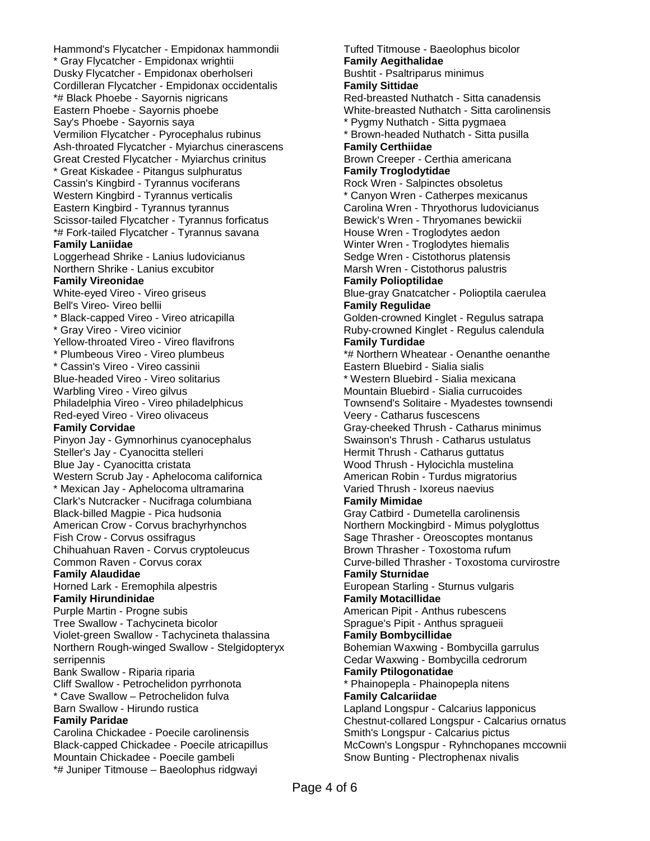Hammond's Flycatcher - Empidonax hammondii \* Gray Flycatcher - Empidonax wrightii Dusky Flycatcher - Empidonax oberholseri Cordilleran Flycatcher - Empidonax occidentalis \*# Black Phoebe - Sayornis nigricans Eastern Phoebe - Sayornis phoebe Say's Phoebe - Sayornis saya Vermilion Flycatcher - Pyrocephalus rubinus Ash-throated Flycatcher - Myiarchus cinerascens Great Crested Flycatcher - Myiarchus crinitus \* Great Kiskadee - Pitangus sulphuratus Cassin's Kingbird - Tyrannus vociferans Western Kingbird - Tyrannus verticalis Eastern Kingbird - Tyrannus tyrannus Scissor-tailed Flycatcher - Tyrannus forficatus \*# Fork-tailed Flycatcher - Tyrannus savana **Family Laniidae** Loggerhead Shrike - Lanius ludovicianus Northern Shrike - Lanius excubitor **Family Vireonidae** White-eyed Vireo - Vireo griseus Bell's Vireo- Vireo bellii \* Black-capped Vireo - Vireo atricapilla \* Gray Vireo - Vireo vicinior Yellow-throated Vireo - Vireo flavifrons \* Plumbeous Vireo - Vireo plumbeus \* Cassin's Vireo - Vireo cassinii Blue-headed Vireo - Vireo solitarius Warbling Vireo - Vireo gilvus Philadelphia Vireo - Vireo philadelphicus Red-eyed Vireo - Vireo olivaceus **Family Corvidae** Pinyon Jay - Gymnorhinus cyanocephalus Steller's Jay - Cyanocitta stelleri Blue Jay - Cyanocitta cristata Western Scrub Jay - Aphelocoma californica \* Mexican Jay - Aphelocoma ultramarina Clark's Nutcracker - Nucifraga columbiana Black-billed Magpie - Pica hudsonia American Crow - Corvus brachyrhynchos Fish Crow - Corvus ossifragus Chihuahuan Raven - Corvus cryptoleucus Common Raven - Corvus corax **Family Alaudidae** Horned Lark - Eremophila alpestris **Family Hirundinidae** Purple Martin - Progne subis Tree Swallow - Tachycineta bicolor Violet-green Swallow - Tachycineta thalassina Northern Rough-winged Swallow - Stelgidopteryx serripennis Bank Swallow - Riparia riparia Cliff Swallow - Petrochelidon pyrrhonota \* Cave Swallow – Petrochelidon fulva Barn Swallow - Hirundo rustica **Family Paridae** Carolina Chickadee - Poecile carolinensis Black-capped Chickadee - Poecile atricapillus Mountain Chickadee - Poecile gambeli \*# Juniper Titmouse – Baeolophus ridgwayi

Tufted Titmouse - Baeolophus bicolor **Family Aegithalidae** Bushtit - Psaltriparus minimus **Family Sittidae** Red-breasted Nuthatch - Sitta canadensis White-breasted Nuthatch - Sitta carolinensis \* Pygmy Nuthatch - Sitta pygmaea \* Brown-headed Nuthatch - Sitta pusilla **Family Certhiidae** Brown Creeper - Certhia americana **Family Troglodytidae** Rock Wren - Salpinctes obsoletus \* Canyon Wren - Catherpes mexicanus Carolina Wren - Thryothorus ludovicianus Bewick's Wren - Thryomanes bewickii House Wren - Troglodytes aedon Winter Wren - Troglodytes hiemalis Sedge Wren - Cistothorus platensis Marsh Wren - Cistothorus palustris **Family Polioptilidae** Blue-gray Gnatcatcher - Polioptila caerulea **Family Regulidae** Golden-crowned Kinglet - Regulus satrapa Ruby-crowned Kinglet - Regulus calendula **Family Turdidae** \*# Northern Wheatear - Oenanthe oenanthe Eastern Bluebird - Sialia sialis \* Western Bluebird - Sialia mexicana Mountain Bluebird - Sialia currucoides Townsend's Solitaire - Myadestes townsendi Veery - Catharus fuscescens Gray-cheeked Thrush - Catharus minimus Swainson's Thrush - Catharus ustulatus Hermit Thrush - Catharus guttatus Wood Thrush - Hylocichla mustelina American Robin - Turdus migratorius Varied Thrush - Ixoreus naevius **Family Mimidae** Gray Catbird - Dumetella carolinensis Northern Mockingbird - Mimus polyglottus Sage Thrasher - Oreoscoptes montanus Brown Thrasher - Toxostoma rufum Curve-billed Thrasher - Toxostoma curvirostre **Family Sturnidae** European Starling - Sturnus vulgaris **Family Motacillidae** American Pipit - Anthus rubescens Sprague's Pipit - Anthus spragueii **Family Bombycillidae** Bohemian Waxwing - Bombycilla garrulus Cedar Waxwing - Bombycilla cedrorum **Family Ptilogonatidae** \* Phainopepla - Phainopepla nitens **Family Calcariidae** Lapland Longspur - Calcarius lapponicus Chestnut-collared Longspur - Calcarius ornatus Smith's Longspur - Calcarius pictus McCown's Longspur - Ryhnchopanes mccownii Snow Bunting - Plectrophenax nivalis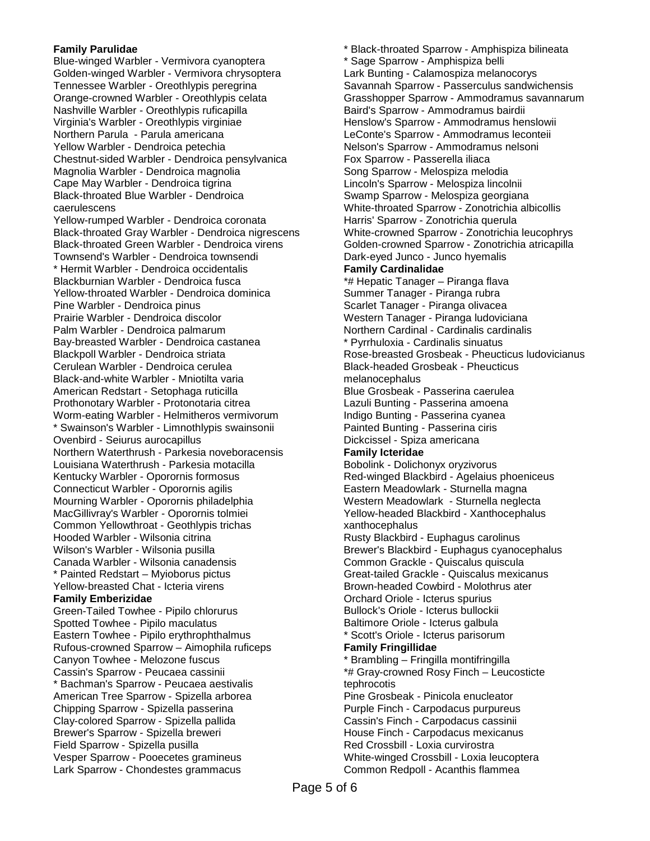#### **Family Parulidae**

Blue-winged Warbler - Vermivora cyanoptera Golden-winged Warbler - Vermivora chrysoptera Tennessee Warbler - Oreothlypis peregrina Orange-crowned Warbler - Oreothlypis celata Nashville Warbler - Oreothlypis ruficapilla Virginia's Warbler - Oreothlypis virginiae Northern Parula - Parula americana Yellow Warbler - Dendroica petechia Chestnut-sided Warbler - Dendroica pensylvanica Magnolia Warbler - Dendroica magnolia Cape May Warbler - Dendroica tigrina Black-throated Blue Warbler - Dendroica caerulescens Yellow-rumped Warbler - Dendroica coronata Black-throated Gray Warbler - Dendroica nigrescens Black-throated Green Warbler - Dendroica virens Townsend's Warbler - Dendroica townsendi \* Hermit Warbler - Dendroica occidentalis Blackburnian Warbler - Dendroica fusca Yellow-throated Warbler - Dendroica dominica Pine Warbler - Dendroica pinus Prairie Warbler - Dendroica discolor Palm Warbler - Dendroica palmarum Bay-breasted Warbler - Dendroica castanea Blackpoll Warbler - Dendroica striata Cerulean Warbler - Dendroica cerulea Black-and-white Warbler - Mniotilta varia American Redstart - Setophaga ruticilla Prothonotary Warbler - Protonotaria citrea Worm-eating Warbler - Helmitheros vermivorum \* Swainson's Warbler - Limnothlypis swainsonii Ovenbird - Seiurus aurocapillus Northern Waterthrush - Parkesia noveboracensis Louisiana Waterthrush - Parkesia motacilla Kentucky Warbler - Oporornis formosus Connecticut Warbler - Oporornis agilis Mourning Warbler - Oporornis philadelphia MacGillivray's Warbler - Oporornis tolmiei Common Yellowthroat - Geothlypis trichas Hooded Warbler - Wilsonia citrina Wilson's Warbler - Wilsonia pusilla Canada Warbler - Wilsonia canadensis \* Painted Redstart – Myioborus pictus Yellow-breasted Chat - Icteria virens **Family Emberizidae** Green-Tailed Towhee - Pipilo chlorurus Spotted Towhee - Pipilo maculatus Eastern Towhee - Pipilo erythrophthalmus Rufous-crowned Sparrow – Aimophila ruficeps Canyon Towhee - Melozone fuscus Cassin's Sparrow - Peucaea cassinii \* Bachman's Sparrow - Peucaea aestivalis American Tree Sparrow - Spizella arborea Chipping Sparrow - Spizella passerina Clay-colored Sparrow - Spizella pallida Brewer's Sparrow - Spizella breweri Field Sparrow - Spizella pusilla Vesper Sparrow - Pooecetes gramineus Lark Sparrow - Chondestes grammacus

\* Black-throated Sparrow - Amphispiza bilineata \* Sage Sparrow - Amphispiza belli Lark Bunting - Calamospiza melanocorys Savannah Sparrow - Passerculus sandwichensis Grasshopper Sparrow - Ammodramus savannarum Baird's Sparrow - Ammodramus bairdii Henslow's Sparrow - Ammodramus henslowii LeConte's Sparrow - Ammodramus leconteii Nelson's Sparrow - Ammodramus nelsoni Fox Sparrow - Passerella iliaca Song Sparrow - Melospiza melodia Lincoln's Sparrow - Melospiza lincolnii Swamp Sparrow - Melospiza georgiana White-throated Sparrow - Zonotrichia albicollis Harris' Sparrow - Zonotrichia querula White-crowned Sparrow - Zonotrichia leucophrys Golden-crowned Sparrow - Zonotrichia atricapilla Dark-eyed Junco - Junco hyemalis **Family Cardinalidae** \*# Hepatic Tanager – Piranga flava Summer Tanager - Piranga rubra Scarlet Tanager - Piranga olivacea Western Tanager - Piranga ludoviciana Northern Cardinal - Cardinalis cardinalis \* Pyrrhuloxia - Cardinalis sinuatus Rose-breasted Grosbeak - Pheucticus ludovicianus Black-headed Grosbeak - Pheucticus melanocephalus Blue Grosbeak - Passerina caerulea Lazuli Bunting - Passerina amoena Indigo Bunting - Passerina cyanea Painted Bunting - Passerina ciris Dickcissel - Spiza americana **Family Icteridae** Bobolink - Dolichonyx oryzivorus Red-winged Blackbird - Agelaius phoeniceus Eastern Meadowlark - Sturnella magna Western Meadowlark - Sturnella neglecta Yellow-headed Blackbird - Xanthocephalus xanthocephalus Rusty Blackbird - Euphagus carolinus Brewer's Blackbird - Euphagus cyanocephalus Common Grackle - Quiscalus quiscula Great-tailed Grackle - Quiscalus mexicanus Brown-headed Cowbird - Molothrus ater Orchard Oriole - Icterus spurius Bullock's Oriole - Icterus bullockii Baltimore Oriole - Icterus galbula \* Scott's Oriole - Icterus parisorum **Family Fringillidae** \* Brambling – Fringilla montifringilla \*# Gray-crowned Rosy Finch – Leucosticte tephrocotis Pine Grosbeak - Pinicola enucleator Purple Finch - Carpodacus purpureus Cassin's Finch - Carpodacus cassinii House Finch - Carpodacus mexicanus Red Crossbill - Loxia curvirostra White-winged Crossbill - Loxia leucoptera Common Redpoll - Acanthis flammea